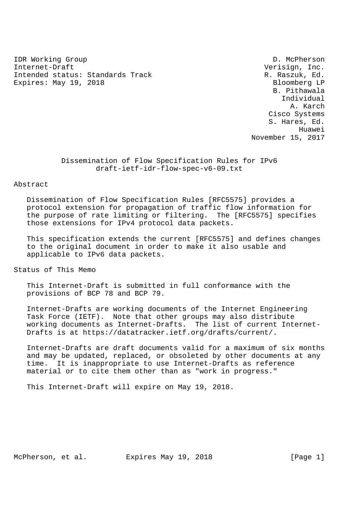IDR Working Group **D. McPherson** Internet-Draft Verisign, Inc. Intended status: Standards Track R. Raszuk, Ed. Expires: May 19, 2018 Bloomberg LP

 B. Pithawala Individual A. Karch Cisco Systems S. Hares, Ed. Huawei November 15, 2017

> Dissemination of Flow Specification Rules for IPv6 draft-ietf-idr-flow-spec-v6-09.txt

### Abstract

 Dissemination of Flow Specification Rules [RFC5575] provides a protocol extension for propagation of traffic flow information for the purpose of rate limiting or filtering. The [RFC5575] specifies those extensions for IPv4 protocol data packets.

 This specification extends the current [RFC5575] and defines changes to the original document in order to make it also usable and applicable to IPv6 data packets.

Status of This Memo

 This Internet-Draft is submitted in full conformance with the provisions of BCP 78 and BCP 79.

 Internet-Drafts are working documents of the Internet Engineering Task Force (IETF). Note that other groups may also distribute working documents as Internet-Drafts. The list of current Internet- Drafts is at https://datatracker.ietf.org/drafts/current/.

 Internet-Drafts are draft documents valid for a maximum of six months and may be updated, replaced, or obsoleted by other documents at any time. It is inappropriate to use Internet-Drafts as reference material or to cite them other than as "work in progress."

This Internet-Draft will expire on May 19, 2018.

McPherson, et al. Expires May 19, 2018 [Page 1]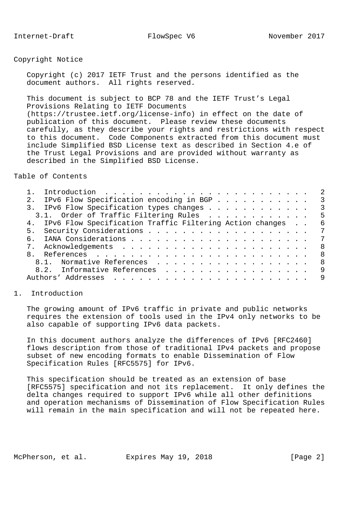# Copyright Notice

 Copyright (c) 2017 IETF Trust and the persons identified as the document authors. All rights reserved.

 This document is subject to BCP 78 and the IETF Trust's Legal Provisions Relating to IETF Documents (https://trustee.ietf.org/license-info) in effect on the date of publication of this document. Please review these documents carefully, as they describe your rights and restrictions with respect to this document. Code Components extracted from this document must include Simplified BSD License text as described in Section 4.e of the Trust Legal Provisions and are provided without warranty as described in the Simplified BSD License.

Table of Contents

| IPv6 Flow Specification encoding in BGP<br>2.                                                                                                                                                                                                           | 3  |
|---------------------------------------------------------------------------------------------------------------------------------------------------------------------------------------------------------------------------------------------------------|----|
| IPv6 Flow Specification types changes                                                                                                                                                                                                                   | -3 |
| 3.1. Order of Traffic Filtering Rules                                                                                                                                                                                                                   | -5 |
| 4. IPv6 Flow Specification Traffic Filtering Action changes                                                                                                                                                                                             | 6  |
|                                                                                                                                                                                                                                                         | 7  |
| б.                                                                                                                                                                                                                                                      | 7  |
|                                                                                                                                                                                                                                                         | -8 |
|                                                                                                                                                                                                                                                         | -8 |
| 8.1. Normative References                                                                                                                                                                                                                               | -8 |
| 8.2. Informative References                                                                                                                                                                                                                             | 9  |
| Authors' Addresses<br>$\frac{1}{2}$ . The contract of the contract of the contract of the contract of the contract of the contract of the contract of the contract of the contract of the contract of the contract of the contract of the contract of t | 9  |
|                                                                                                                                                                                                                                                         |    |

## 1. Introduction

 The growing amount of IPv6 traffic in private and public networks requires the extension of tools used in the IPv4 only networks to be also capable of supporting IPv6 data packets.

 In this document authors analyze the differences of IPv6 [RFC2460] flows description from those of traditional IPv4 packets and propose subset of new encoding formats to enable Dissemination of Flow Specification Rules [RFC5575] for IPv6.

 This specification should be treated as an extension of base [RFC5575] specification and not its replacement. It only defines the delta changes required to support IPv6 while all other definitions and operation mechanisms of Dissemination of Flow Specification Rules will remain in the main specification and will not be repeated here.

McPherson, et al. Expires May 19, 2018 [Page 2]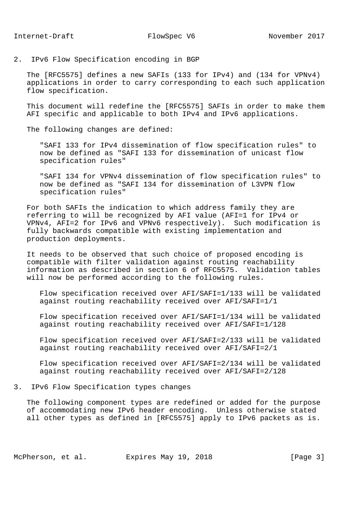2. IPv6 Flow Specification encoding in BGP

 The [RFC5575] defines a new SAFIs (133 for IPv4) and (134 for VPNv4) applications in order to carry corresponding to each such application flow specification.

 This document will redefine the [RFC5575] SAFIs in order to make them AFI specific and applicable to both IPv4 and IPv6 applications.

The following changes are defined:

 "SAFI 133 for IPv4 dissemination of flow specification rules" to now be defined as "SAFI 133 for dissemination of unicast flow specification rules"

 "SAFI 134 for VPNv4 dissemination of flow specification rules" to now be defined as "SAFI 134 for dissemination of L3VPN flow specification rules"

 For both SAFIs the indication to which address family they are referring to will be recognized by AFI value (AFI=1 for IPv4 or VPNv4, AFI=2 for IPv6 and VPNv6 respectively). Such modification is fully backwards compatible with existing implementation and production deployments.

 It needs to be observed that such choice of proposed encoding is compatible with filter validation against routing reachability information as described in section 6 of RFC5575. Validation tables will now be performed according to the following rules.

 Flow specification received over AFI/SAFI=1/133 will be validated against routing reachability received over AFI/SAFI=1/1

 Flow specification received over AFI/SAFI=1/134 will be validated against routing reachability received over AFI/SAFI=1/128

 Flow specification received over AFI/SAFI=2/133 will be validated against routing reachability received over AFI/SAFI=2/1

 Flow specification received over AFI/SAFI=2/134 will be validated against routing reachability received over AFI/SAFI=2/128

3. IPv6 Flow Specification types changes

 The following component types are redefined or added for the purpose of accommodating new IPv6 header encoding. Unless otherwise stated all other types as defined in [RFC5575] apply to IPv6 packets as is.

McPherson, et al. Expires May 19, 2018 [Page 3]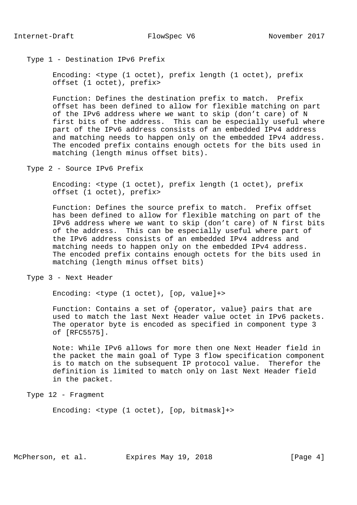#### Type 1 - Destination IPv6 Prefix

 Encoding: <type (1 octet), prefix length (1 octet), prefix offset (1 octet), prefix>

 Function: Defines the destination prefix to match. Prefix offset has been defined to allow for flexible matching on part of the IPv6 address where we want to skip (don't care) of N first bits of the address. This can be especially useful where part of the IPv6 address consists of an embedded IPv4 address and matching needs to happen only on the embedded IPv4 address. The encoded prefix contains enough octets for the bits used in matching (length minus offset bits).

Type 2 - Source IPv6 Prefix

 Encoding: <type (1 octet), prefix length (1 octet), prefix offset (1 octet), prefix>

 Function: Defines the source prefix to match. Prefix offset has been defined to allow for flexible matching on part of the IPv6 address where we want to skip (don't care) of N first bits of the address. This can be especially useful where part of the IPv6 address consists of an embedded IPv4 address and matching needs to happen only on the embedded IPv4 address. The encoded prefix contains enough octets for the bits used in matching (length minus offset bits)

Type 3 - Next Header

Encoding: <type (1 octet), [op, value]+>

 Function: Contains a set of {operator, value} pairs that are used to match the last Next Header value octet in IPv6 packets. The operator byte is encoded as specified in component type 3 of [RFC5575].

 Note: While IPv6 allows for more then one Next Header field in the packet the main goal of Type 3 flow specification component is to match on the subsequent IP protocol value. Therefor the definition is limited to match only on last Next Header field in the packet.

Type 12 - Fragment

Encoding: <type (1 octet), [op, bitmask]+>

McPherson, et al. Expires May 19, 2018 [Page 4]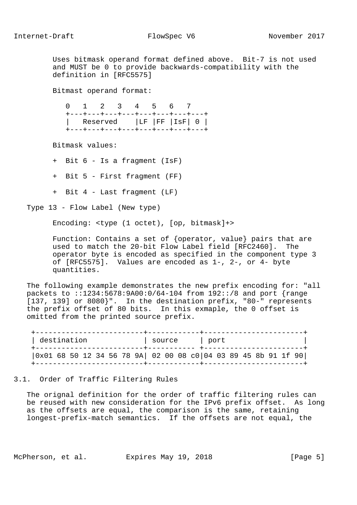Uses bitmask operand format defined above. Bit-7 is not used and MUST be 0 to provide backwards-compatibility with the definition in [RFC5575]

Bitmast operand format:

 0 1 2 3 4 5 6 7 +---+---+---+---+---+---+---+---+ | Reserved |LF |FF |IsF| 0 | +---+---+---+---+---+---+---+---+

Bitmask values:

+ Bit 6 - Is a fragment (IsF)

+ Bit 5 - First fragment (FF)

+ Bit 4 - Last fragment (LF)

Type 13 - Flow Label (New type)

Encoding: <type (1 octet), [op, bitmask]+>

 Function: Contains a set of {operator, value} pairs that are used to match the 20-bit Flow Label field [RFC2460]. The operator byte is encoded as specified in the component type 3 of [RFC5575]. Values are encoded as 1-, 2-, or 4- byte quantities.

 The following example demonstrates the new prefix encoding for: "all packets to ::1234:5678:9A00:0/64-104 from 192::/8 and port {range [137, 139] or 8080}". In the destination prefix, "80-" represents the prefix offset of 80 bits. In this exmaple, the 0 offset is omitted from the printed source prefix.

 +-------------------------+------------+-----------------------+ | destination | source | port +-------------------------+----------- +-----------------------+ |0x01 68 50 12 34 56 78 9A| 02 00 08 c0|04 03 89 45 8b 91 1f 90| +-------------------------+------------+-----------------------+

# 3.1. Order of Traffic Filtering Rules

 The orignal definition for the order of traffic filtering rules can be reused with new consideration for the IPv6 prefix offset. As long as the offsets are equal, the comparison is the same, retaining longest-prefix-match semantics. If the offsets are not equal, the

McPherson, et al. Expires May 19, 2018 [Page 5]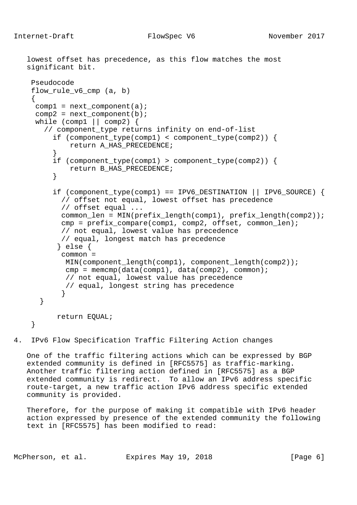```
 lowest offset has precedence, as this flow matches the most
  significant bit.
   Pseudocode
   flow_rule_v6_cmp (a, b)
    {
   comp1 = next\_component(a);comp2 = next\_component(b);while (comp1 || comp2) {
       // component_type returns infinity on end-of-list
         if (component_type(comp1) < component_type(comp2)) {
            return A_HAS_PRECEDENCE;
}
       if (component type(comp1) > component type(comp2)) {
            return B_HAS_PRECEDENCE;
}
        if (component_type(comp1) == IPV6_DESTINATION || IPV6_SOURCE) {
           // offset not equal, lowest offset has precedence
           // offset equal ...
           common_len = MIN(prefix_length(comp1), prefix_length(comp2));
           cmp = prefix_compare(comp1, comp2, offset, common_len);
           // not equal, lowest value has precedence
           // equal, longest match has precedence
          } else {
           common =
           MIN(component_length(comp1), component_length(comp2));
           cmp = memcmp(data(comp1), data(comp2), common);
            // not equal, lowest value has precedence
            // equal, longest string has precedence
}
      }
         return EQUAL;
    }
```
4. IPv6 Flow Specification Traffic Filtering Action changes

 One of the traffic filtering actions which can be expressed by BGP extended community is defined in [RFC5575] as traffic-marking. Another traffic filtering action defined in [RFC5575] as a BGP extended community is redirect. To allow an IPv6 address specific route-target, a new traffic action IPv6 address specific extended community is provided.

 Therefore, for the purpose of making it compatible with IPv6 header action expressed by presence of the extended community the following text in [RFC5575] has been modified to read:

McPherson, et al. Expires May 19, 2018 [Page 6]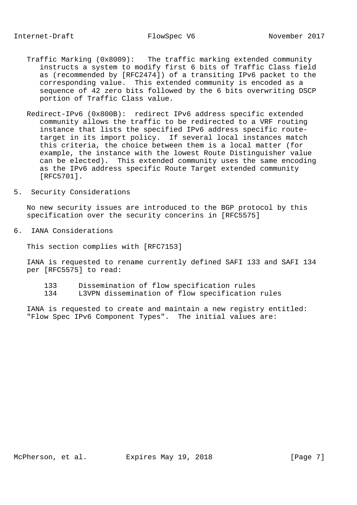- Traffic Marking (0x8009): The traffic marking extended community instructs a system to modify first 6 bits of Traffic Class field as (recommended by [RFC2474]) of a transiting IPv6 packet to the corresponding value. This extended community is encoded as a sequence of 42 zero bits followed by the 6 bits overwriting DSCP portion of Traffic Class value.
- Redirect-IPv6 (0x800B): redirect IPv6 address specific extended community allows the traffic to be redirected to a VRF routing instance that lists the specified IPv6 address specific route target in its import policy. If several local instances match this criteria, the choice between them is a local matter (for example, the instance with the lowest Route Distinguisher value can be elected). This extended community uses the same encoding as the IPv6 address specific Route Target extended community [RFC5701].
- 5. Security Considerations

 No new security issues are introduced to the BGP protocol by this specification over the security concerins in [RFC5575]

6. IANA Considerations

This section complies with [RFC7153]

 IANA is requested to rename currently defined SAFI 133 and SAFI 134 per [RFC5575] to read:

- 133 Dissemination of flow specification rules
- 134 L3VPN dissemination of flow specification rules

 IANA is requested to create and maintain a new registry entitled: "Flow Spec IPv6 Component Types". The initial values are: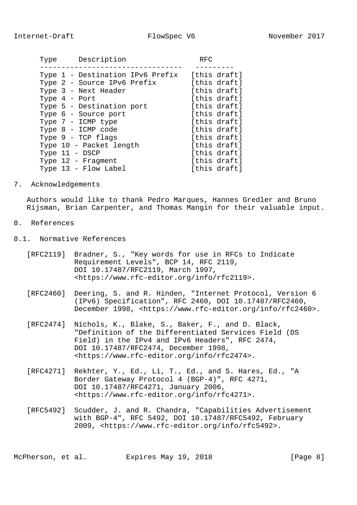|  |                 | Type Description            |                                  | <b>RFC</b> |              |
|--|-----------------|-----------------------------|----------------------------------|------------|--------------|
|  |                 |                             | Type 1 - Destination IPv6 Prefix |            | [this draft] |
|  |                 | Type 2 - Source IPv6 Prefix |                                  |            | [this draft] |
|  |                 | Type 3 - Next Header        |                                  |            | [this draft] |
|  | Type $4$ - Port |                             |                                  |            | [this draft] |
|  |                 | Type 5 - Destination port   |                                  |            | [this draft] |
|  |                 | Type 6 - Source port        |                                  |            | [this draft] |
|  |                 | Type 7 - ICMP type          |                                  |            | [this draft] |
|  |                 | Type 8 - ICMP code          |                                  |            | [this draft] |
|  |                 | Type 9 - TCP flags          |                                  |            | [this draft] |
|  |                 | Type 10 - Packet length     |                                  |            | [this draft] |
|  | Type 11 - DSCP  |                             |                                  |            | [this draft] |
|  |                 | Type 12 - Fragment          |                                  |            | [this draft] |
|  |                 | Type 13 - Flow Label        |                                  |            | [this draft] |
|  |                 |                             |                                  |            |              |

7. Acknowledgements

 Authors would like to thank Pedro Marques, Hannes Gredler and Bruno Rijsman, Brian Carpenter, and Thomas Mangin for their valuable input.

- 8. References
- 8.1. Normative References
	- [RFC2119] Bradner, S., "Key words for use in RFCs to Indicate Requirement Levels", BCP 14, RFC 2119, DOI 10.17487/RFC2119, March 1997, <https://www.rfc-editor.org/info/rfc2119>.
	- [RFC2460] Deering, S. and R. Hinden, "Internet Protocol, Version 6 (IPv6) Specification", RFC 2460, DOI 10.17487/RFC2460, December 1998, <https://www.rfc-editor.org/info/rfc2460>.
	- [RFC2474] Nichols, K., Blake, S., Baker, F., and D. Black, "Definition of the Differentiated Services Field (DS Field) in the IPv4 and IPv6 Headers", RFC 2474, DOI 10.17487/RFC2474, December 1998, <https://www.rfc-editor.org/info/rfc2474>.
	- [RFC4271] Rekhter, Y., Ed., Li, T., Ed., and S. Hares, Ed., "A Border Gateway Protocol 4 (BGP-4)", RFC 4271, DOI 10.17487/RFC4271, January 2006, <https://www.rfc-editor.org/info/rfc4271>.
	- [RFC5492] Scudder, J. and R. Chandra, "Capabilities Advertisement with BGP-4", RFC 5492, DOI 10.17487/RFC5492, February 2009, <https://www.rfc-editor.org/info/rfc5492>.

McPherson, et al. Expires May 19, 2018 [Page 8]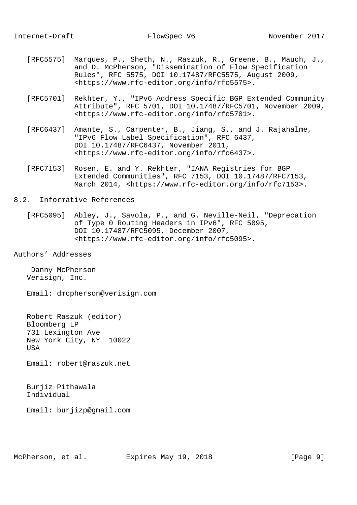- [RFC5575] Marques, P., Sheth, N., Raszuk, R., Greene, B., Mauch, J., and D. McPherson, "Dissemination of Flow Specification Rules", RFC 5575, DOI 10.17487/RFC5575, August 2009, <https://www.rfc-editor.org/info/rfc5575>.
- [RFC5701] Rekhter, Y., "IPv6 Address Specific BGP Extended Community Attribute", RFC 5701, DOI 10.17487/RFC5701, November 2009, <https://www.rfc-editor.org/info/rfc5701>.
- [RFC6437] Amante, S., Carpenter, B., Jiang, S., and J. Rajahalme, "IPv6 Flow Label Specification", RFC 6437, DOI 10.17487/RFC6437, November 2011, <https://www.rfc-editor.org/info/rfc6437>.
- [RFC7153] Rosen, E. and Y. Rekhter, "IANA Registries for BGP Extended Communities", RFC 7153, DOI 10.17487/RFC7153, March 2014, <https://www.rfc-editor.org/info/rfc7153>.

## 8.2. Informative References

- [RFC5095] Abley, J., Savola, P., and G. Neville-Neil, "Deprecation of Type 0 Routing Headers in IPv6", RFC 5095, DOI 10.17487/RFC5095, December 2007, <https://www.rfc-editor.org/info/rfc5095>.
- Authors' Addresses

 Danny McPherson Verisign, Inc.

Email: dmcpherson@verisign.com

 Robert Raszuk (editor) Bloomberg LP 731 Lexington Ave New York City, NY 10022 USA

Email: robert@raszuk.net

 Burjiz Pithawala Individual

Email: burjizp@gmail.com

McPherson, et al. Expires May 19, 2018 [Page 9]